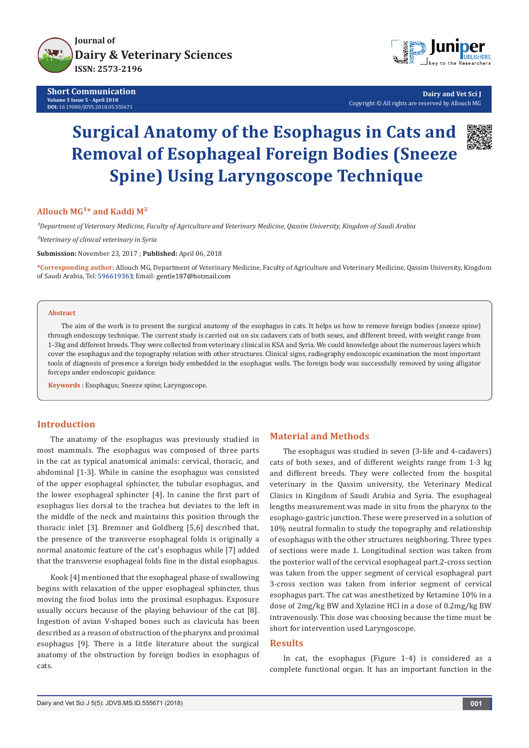

**Short Communication Volume 5 Issue 5 - April 2018 DOI:** [10.19080/JDVS.2018.05.555671](http://dx.doi.org/10.19080/JDVS.2018.05.555671)



**Dairy and Vet Sci J** Copyright © All rights are reserved by Allouch MG

# **Surgical Anatomy of the Esophagus in Cats and Removal of Esophageal Foreign Bodies (Sneeze Spine) Using Laryngoscope Technique**



### Allouch MG<sup>1\*</sup> and Kaddi M<sup>2</sup>

*¹Department of Veterinary Medicine, Faculty of Agriculture and Veterinary Medicine, Qassim University, Kingdom of Saudi Arabia*

*²Veterinary of clinical veterinary in Syria*

**Submission:** November 23, 2017 ; **Published:** April 06, 2018

**\*Corresponding author:** Allouch MG, Department of Veterinary Medicine, Faculty of Agriculture and Veterinary Medicine, Qassim University, Kingdom of Saudi Arabia, Tel: 596619363; Email: gentle187@hotmail.com

#### **Abstract**

The aim of the work is to present the surgical anatomy of the esophagus in cats. It helps us how to remove foreign bodies (sneeze spine) through endoscopy technique. The current study is carried out on six cadavers cats of both sexes, and different breed, with weight range from 1-3kg and different breeds. They were collected from veterinary clinical in KSA and Syria. We could knowledge about the numerous layers which cover the esophagus and the topography relation with other structures. Clinical signs, radiography endoscopic examination the most important tools of diagnosis of presence a foreign body embedded in the esophagus walls. The foreign body was successfully removed by using alligator forceps under endoscopic guidance.

**Keywords :** Esophagus; Sneeze spine; Laryngoscope.

### **Introduction**

The anatomy of the esophagus was previously studied in most mammals. The esophagus was composed of three parts in the cat as typical anatomical animals: cervical, thoracic, and abdominal [1-3]. While in canine the esophagus was consisted of the upper esophageal sphincter, the tubular esophagus, and the lower esophageal sphincter [4]. In canine the first part of esophagus lies dorsal to the trachea but deviates to the left in the middle of the neck and maintains this position through the thoracic inlet [3]. Bremner and Goldberg [5,6] described that, the presence of the transverse esophageal folds is originally a normal anatomic feature of the cat′s esophagus while [7] added that the transverse esophageal folds fine in the distal esophagus.

Kook [4] mentioned that the esophageal phase of swallowing begins with relaxation of the upper esophageal sphincter, thus moving the food bolus into the proximal esophagus. Exposure usually occurs because of the playing behaviour of the cat [8]. Ingestion of avian V-shaped bones such as clavicula has been described as a reason of obstruction of the pharynx and proximal esophagus [9]. There is a little literature about the surgical anatomy of the obstruction by foreign bodies in esophagus of cats.

#### **Material and Methods**

The esophagus was studied in seven (3-life and 4-cadavers) cats of both sexes, and of different weights range from 1-3 kg and different breeds. They were collected from the hospital veterinary in the Qassim university, the Veterinary Medical Clinics in Kingdom of Saudi Arabia and Syria. The esophageal lengths measurement was made in situ from the pharynx to the esophago-gastric junction. These were preserved in a solution of 10% neutral formalin to study the topography and relationship of esophagus with the other structures neighboring. Three types of sections were made 1. Longitudinal section was taken from the posterior wall of the cervical esophageal part.2-cross section was taken from the upper segment of cervical esophageal part 3-cross section was taken from inferior segment of cervical esophagus part. The cat was anesthetized by Ketamine 10% in a dose of 2mg/kg BW and Xylazine HCl in a dose of 0.2mg/kg BW intravenously. This dose was choosing because the time must be short for intervention used Laryngoscope.

#### **Results**

In cat, the esophagus (Figure 1-4) is considered as a complete functional organ. It has an important function in the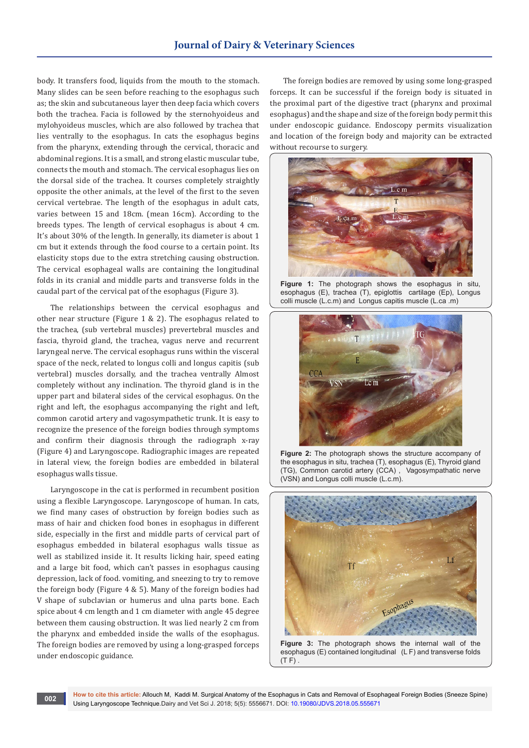body. It transfers food, liquids from the mouth to the stomach. Many slides can be seen before reaching to the esophagus such as; the skin and subcutaneous layer then deep facia which covers both the trachea. Facia is followed by the sternohyoideus and mylohyoideus muscles, which are also followed by trachea that lies ventrally to the esophagus. In cats the esophagus begins from the pharynx, extending through the cervical, thoracic and abdominal regions. It is a small, and strong elastic muscular tube, connects the mouth and stomach. The cervical esophagus lies on the dorsal side of the trachea. It courses completely straightly opposite the other animals, at the level of the first to the seven cervical vertebrae. The length of the esophagus in adult cats, varies between 15 and 18cm. (mean 16cm). According to the breeds types. The length of cervical esophagus is about 4 cm. It's about 30% of the length. In generally, its diameter is about 1 cm but it extends through the food course to a certain point. Its elasticity stops due to the extra stretching causing obstruction. The cervical esophageal walls are containing the longitudinal folds in its cranial and middle parts and transverse folds in the caudal part of the cervical pat of the esophagus (Figure 3).

The relationships between the cervical esophagus and other near structure (Figure 1 & 2). The esophagus related to the trachea, (sub vertebral muscles) prevertebral muscles and fascia, thyroid gland, the trachea, vagus nerve and recurrent laryngeal nerve. The cervical esophagus runs within the visceral space of the neck, related to longus colli and longus capitis (sub vertebral) muscles dorsally, and the trachea ventrally Almost completely without any inclination. The thyroid gland is in the upper part and bilateral sides of the cervical esophagus. On the right and left, the esophagus accompanying the right and left, common carotid artery and vagosympathetic trunk. It is easy to recognize the presence of the foreign bodies through symptoms and confirm their diagnosis through the radiograph x-ray (Figure 4) and Laryngoscope. Radiographic images are repeated in lateral view, the foreign bodies are embedded in bilateral esophagus walls tissue.

Laryngoscope in the cat is performed in recumbent position using a flexible Laryngoscope. Laryngoscope of human. In cats, we find many cases of obstruction by foreign bodies such as mass of hair and chicken food bones in esophagus in different side, especially in the first and middle parts of cervical part of esophagus embedded in bilateral esophagus walls tissue as well as stabilized inside it. It results licking hair, speed eating and a large bit food, which can't passes in esophagus causing depression, lack of food. vomiting, and sneezing to try to remove the foreign body (Figure 4 & 5). Many of the foreign bodies had V shape of subclavian or humerus and ulna parts bone. Each spice about 4 cm length and 1 cm diameter with angle 45 degree between them causing obstruction. It was lied nearly 2 cm from the pharynx and embedded inside the walls of the esophagus. The foreign bodies are removed by using a long-grasped forceps under endoscopic guidance.

The foreign bodies are removed by using some long-grasped forceps. It can be successful if the foreign body is situated in the proximal part of the digestive tract (pharynx and proximal esophagus) and the shape and size of the foreign body permit this under endoscopic guidance. Endoscopy permits visualization and location of the foreign body and majority can be extracted without recourse to surgery.



**Figure 1:** The photograph shows the esophagus in situ, esophagus (E), trachea (T), epiglottis cartilage (Ep), Longus colli muscle (L.c.m) and Longus capitis muscle (L.ca .m)



**Figure 2:** The photograph shows the structure accompany of the esophagus in situ, trachea (T), esophagus (E), Thyroid gland (TG), Common carotid artery (CCA) , Vagosympathatic nerve (VSN) and Longus colli muscle (L.c.m).



**Figure 3:** The photograph shows the internal wall of the esophagus (E) contained longitudinal (L F) and transverse folds  $(T F)$ .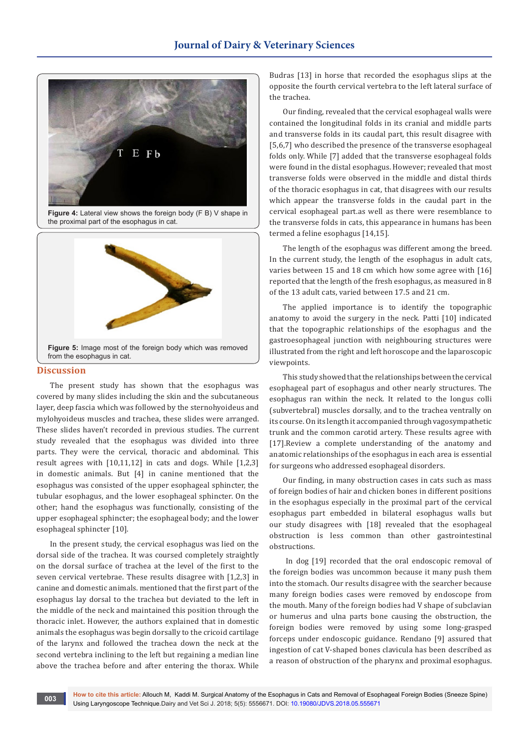

**Figure 4:** Lateral view shows the foreign body (F B) V shape in the proximal part of the esophagus in cat.



#### **Discussion**

The present study has shown that the esophagus was covered by many slides including the skin and the subcutaneous layer, deep fascia which was followed by the sternohyoideus and mylohyoideus muscles and trachea, these slides were arranged. These slides haven't recorded in previous studies. The current study revealed that the esophagus was divided into three parts. They were the cervical, thoracic and abdominal. This result agrees with [10,11,12] in cats and dogs. While [1,2,3] in domestic animals. But [4] in canine mentioned that the esophagus was consisted of the upper esophageal sphincter, the tubular esophagus, and the lower esophageal sphincter. On the other; hand the esophagus was functionally, consisting of the upper esophageal sphincter; the esophageal body; and the lower esophageal sphincter [10].

In the present study, the cervical esophagus was lied on the dorsal side of the trachea. It was coursed completely straightly on the dorsal surface of trachea at the level of the first to the seven cervical vertebrae. These results disagree with [1,2,3] in canine and domestic animals. mentioned that the first part of the esophagus lay dorsal to the trachea but deviated to the left in the middle of the neck and maintained this position through the thoracic inlet. However, the authors explained that in domestic animals the esophagus was begin dorsally to the cricoid cartilage of the larynx and followed the trachea down the neck at the second vertebra inclining to the left but regaining a median line above the trachea before and after entering the thorax. While

Budras [13] in horse that recorded the esophagus slips at the opposite the fourth cervical vertebra to the left lateral surface of the trachea.

Our finding, revealed that the cervical esophageal walls were contained the longitudinal folds in its cranial and middle parts and transverse folds in its caudal part, this result disagree with [5,6,7] who described the presence of the transverse esophageal folds only. While [7] added that the transverse esophageal folds were found in the distal esophagus. However; revealed that most transverse folds were observed in the middle and distal thirds of the thoracic esophagus in cat, that disagrees with our results which appear the transverse folds in the caudal part in the cervical esophageal part.as well as there were resemblance to the transverse folds in cats, this appearance in humans has been termed a feline esophagus [14,15].

The length of the esophagus was different among the breed. In the current study, the length of the esophagus in adult cats, varies between 15 and 18 cm which how some agree with [16] reported that the length of the fresh esophagus, as measured in 8 of the 13 adult cats, varied between 17.5 and 21 cm.

The applied importance is to identify the topographic anatomy to avoid the surgery in the neck. Patti [10] indicated that the topographic relationships of the esophagus and the gastroesophageal junction with neighbouring structures were illustrated from the right and left horoscope and the laparoscopic viewpoints.

This study showed that the relationships between the cervical esophageal part of esophagus and other nearly structures. The esophagus ran within the neck. It related to the longus colli (subvertebral) muscles dorsally, and to the trachea ventrally on its course. On its length it accompanied through vagosympathetic trunk and the common carotid artery. These results agree with [17].Review a complete understanding of the anatomy and anatomic relationships of the esophagus in each area is essential for surgeons who addressed esophageal disorders.

Our finding, in many obstruction cases in cats such as mass of foreign bodies of hair and chicken bones in different positions in the esophagus especially in the proximal part of the cervical esophagus part embedded in bilateral esophagus walls but our study disagrees with [18] revealed that the esophageal obstruction is less common than other gastrointestinal obstructions.

 In dog [19] recorded that the oral endoscopic removal of the foreign bodies was uncommon because it many push them into the stomach. Our results disagree with the searcher because many foreign bodies cases were removed by endoscope from the mouth. Many of the foreign bodies had V shape of subclavian or humerus and ulna parts bone causing the obstruction, the foreign bodies were removed by using some long-grasped forceps under endoscopic guidance. Rendano [9] assured that ingestion of cat V-shaped bones clavicula has been described as a reason of obstruction of the pharynx and proximal esophagus.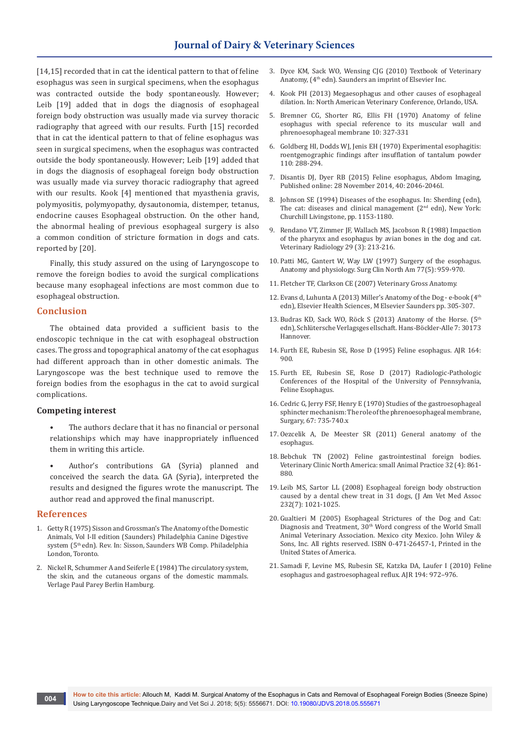[14,15] recorded that in cat the identical pattern to that of feline esophagus was seen in surgical specimens, when the esophagus was contracted outside the body spontaneously. However; Leib [19] added that in dogs the diagnosis of esophageal foreign body obstruction was usually made via survey thoracic radiography that agreed with our results. Furth [15] recorded that in cat the identical pattern to that of feline esophagus was seen in surgical specimens, when the esophagus was contracted outside the body spontaneously. However; Leib [19] added that in dogs the diagnosis of esophageal foreign body obstruction was usually made via survey thoracic radiography that agreed with our results. Kook [4] mentioned that myasthenia gravis, polymyositis, polymyopathy, dysautonomia, distemper, tetanus, endocrine causes Esophageal obstruction. On the other hand, the abnormal healing of previous esophageal surgery is also a common condition of stricture formation in dogs and cats. reported by [20].

Finally, this study assured on the using of Laryngoscope to remove the foreign bodies to avoid the surgical complications because many esophageal infections are most common due to esophageal obstruction.

#### **Conclusion**

The obtained data provided a sufficient basis to the endoscopic technique in the cat with esophageal obstruction cases. The gross and topographical anatomy of the cat esophagus had different approach than in other domestic animals. The Laryngoscope was the best technique used to remove the foreign bodies from the esophagus in the cat to avoid surgical complications.

#### **Competing interest**

- The authors declare that it has no financial or personal relationships which may have inappropriately influenced them in writing this article.
- Author's contributions GA (Syria) planned and conceived the search the data. GA (Syria), interpreted the results and designed the figures wrote the manuscript. The author read and approved the final manuscript.

#### **References**

- 1. Getty R (1975) Sisson and Grossman's The Anatomy of the Domestic Animals, Vol I-II edition (Saunders) Philadelphia Canine Digestive system (5<sup>th</sup> edn). Rev. In: Sisson, Saunders WB Comp. Philadelphia London, Toronto.
- 2. Nickel R, Schummer A and Seiferle E (1984) The circulatory system, the skin, and the cutaneous organs of the domestic mammals. Verlage Paul Parey Berlin Hamburg.
- 3. Dyce KM, Sack WO, Wensing CJG (2010) Textbook of Veterinary Anatomy, (4th edn). Saunders an imprint of Elsevier Inc.
- 4. Kook PH (2013) Megaesophagus and other causes of esophageal dilation. In: North American Veterinary Conference, Orlando, USA.
- 5. [Bremner CG, Shorter RG, Ellis FH \(1970\) Anatomy of feline](https://www.ncbi.nlm.nih.gov/pubmed/4910812)  [esophagus with special reference to its muscular wall and](https://www.ncbi.nlm.nih.gov/pubmed/4910812)  [phrenoesophageal membrane 10: 327-331](https://www.ncbi.nlm.nih.gov/pubmed/4910812)
- 6. [Goldberg HI, Dodds WJ, Jenis EH \(1970\) Experimental esophagitis:](https://www.ncbi.nlm.nih.gov/pubmed/4097368)  [roentgenographic findings after insufflation of tantalum powder](https://www.ncbi.nlm.nih.gov/pubmed/4097368)  [110: 288-294.](https://www.ncbi.nlm.nih.gov/pubmed/4097368)
- 7. Disantis DJ, Dyer RB (2015) Feline esophagus, Abdom Imaging, Published online: 28 November 2014, 40: 2046-2046l.
- 8. Johnson SE (1994) Diseases of the esophagus. In: Sherding (edn), The cat: diseases and clinical management  $(2<sup>nd</sup>$  edn), New York: Churchill Livingstone, pp. 1153-1180.
- 9. Rendano VT, Zimmer JF, Wallach MS, Jacobson R (1988) Impaction of the pharynx and esophagus by avian bones in the dog and cat. Veterinary Radiology 29 (3): 213-216.
- 10. [Patti MG, Gantert W, Way LW \(1997\) Surgery of the esophagus.](https://www.ncbi.nlm.nih.gov/pubmed/9347826)  [Anatomy and physiology. Surg Clin North Am 77\(5\): 959-970.](https://www.ncbi.nlm.nih.gov/pubmed/9347826)
- 11. Fletcher TF, Clarkson CE (2007) Veterinary Gross Anatomy.
- 12. Evans d, Luhunta A (2013) Miller's Anatomy of the Dog e-book (4th edn), Elsevier Health Sciences, M Elsevier Saunders pp. 305-307.
- 13. Budras KD, Sack WO, Röck S (2013) Anatomy of the Horse. (5<sup>th</sup> edn), Schlütersche Verlagsges ellschaft. Hans-Böckler-Alle 7: 30173 Hannover.
- 14. Furth EE, Rubesin SE, Rose D (1995) Feline esophagus. AJR 164: 900.
- 15. Furth EE, Rubesin SE, Rose D (2017) Radiologic-Pathologic Conferences of the Hospital of the University of Pennsylvania, Feline Esophagus.
- 16. Cedric G, Jerry FSF, Henry E (1970) Studies of the gastroesophageal sphincter mechanism: The role of the phrenoesophageal membrane, Surgary, 67: 735-740.x
- 17. Oezcelik A, De Meester SR (2011) General anatomy of the esophagus.
- 18. [Bebchuk TN \(2002\) Feline gastrointestinal foreign bodies.](https://www.ncbi.nlm.nih.gov/pubmed/12148315)  [Veterinary Clinic North America: small Animal Practice 32 \(4\): 861-](https://www.ncbi.nlm.nih.gov/pubmed/12148315) [880.](https://www.ncbi.nlm.nih.gov/pubmed/12148315)
- 19. [Leib MS, Sartor LL \(2008\) Esophageal foreign body obstruction](https://www.ncbi.nlm.nih.gov/pubmed/18380620)  [caused by a dental chew treat in 31 dogs, \(J Am Vet Med Assoc](https://www.ncbi.nlm.nih.gov/pubmed/18380620)  [232\(7\): 1021-1025.](https://www.ncbi.nlm.nih.gov/pubmed/18380620)
- 20. Gualtieri M (2005) Esophageal Strictures of the Dog and Cat: Diagnosis and Treatment, 30<sup>th</sup> Word congress of the World Small Animal Veterinary Association. Mexico city Mexico. John Wiley & Sons, Inc. All rights reserved. ISBN 0-471-26457-1, Printed in the United States of America.
- 21. Samadi F, Levine MS, Rubesin SE, Katzka DA, Laufer I (2010) Feline esophagus and gastroesophageal reflux. AJR 194: 972–976.